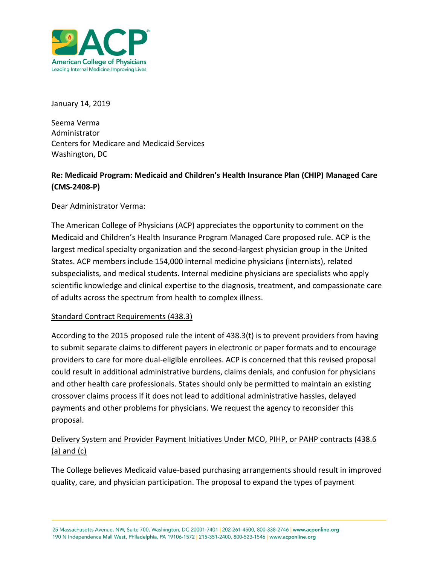

January 14, 2019

Seema Verma Administrator Centers for Medicare and Medicaid Services Washington, DC

# **Re: Medicaid Program: Medicaid and Children's Health Insurance Plan (CHIP) Managed Care (CMS-2408-P)**

Dear Administrator Verma:

The American College of Physicians (ACP) appreciates the opportunity to comment on the Medicaid and Children's Health Insurance Program Managed Care proposed rule. ACP is the largest medical specialty organization and the second-largest physician group in the United States. ACP members include 154,000 internal medicine physicians (internists), related subspecialists, and medical students. Internal medicine physicians are specialists who apply scientific knowledge and clinical expertise to the diagnosis, treatment, and compassionate care of adults across the spectrum from health to complex illness.

## Standard Contract Requirements (438.3)

According to the 2015 proposed rule the intent of 438.3(t) is to prevent providers from having to submit separate claims to different payers in electronic or paper formats and to encourage providers to care for more dual-eligible enrollees. ACP is concerned that this revised proposal could result in additional administrative burdens, claims denials, and confusion for physicians and other health care professionals. States should only be permitted to maintain an existing crossover claims process if it does not lead to additional administrative hassles, delayed payments and other problems for physicians. We request the agency to reconsider this proposal.

## Delivery System and Provider Payment Initiatives Under MCO, PIHP, or PAHP contracts (438.6 (a) and (c)

The College believes Medicaid value-based purchasing arrangements should result in improved quality, care, and physician participation. The proposal to expand the types of payment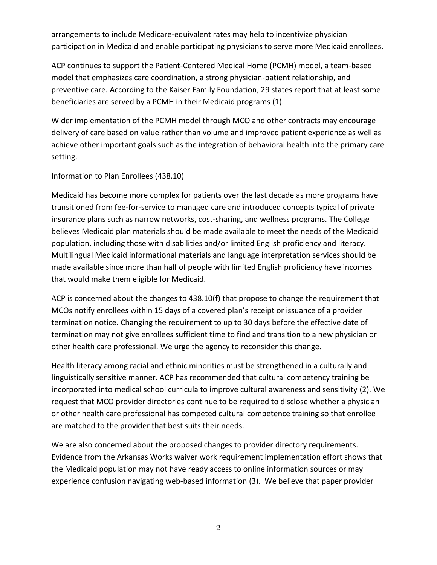arrangements to include Medicare-equivalent rates may help to incentivize physician participation in Medicaid and enable participating physicians to serve more Medicaid enrollees.

ACP continues to support the Patient-Centered Medical Home (PCMH) model, a team-based model that emphasizes care coordination, a strong physician-patient relationship, and preventive care. According to the Kaiser Family Foundation, 29 states report that at least some beneficiaries are served by a PCMH in their Medicaid programs (1).

Wider implementation of the PCMH model through MCO and other contracts may encourage delivery of care based on value rather than volume and improved patient experience as well as achieve other important goals such as the integration of behavioral health into the primary care setting.

#### Information to Plan Enrollees (438.10)

Medicaid has become more complex for patients over the last decade as more programs have transitioned from fee-for-service to managed care and introduced concepts typical of private insurance plans such as narrow networks, cost-sharing, and wellness programs. The College believes Medicaid plan materials should be made available to meet the needs of the Medicaid population, including those with disabilities and/or limited English proficiency and literacy. Multilingual Medicaid informational materials and language interpretation services should be made available since more than half of people with limited English proficiency have incomes that would make them eligible for Medicaid.

ACP is concerned about the changes to 438.10(f) that propose to change the requirement that MCOs notify enrollees within 15 days of a covered plan's receipt or issuance of a provider termination notice. Changing the requirement to up to 30 days before the effective date of termination may not give enrollees sufficient time to find and transition to a new physician or other health care professional. We urge the agency to reconsider this change.

Health literacy among racial and ethnic minorities must be strengthened in a culturally and linguistically sensitive manner. ACP has recommended that cultural competency training be incorporated into medical school curricula to improve cultural awareness and sensitivity (2). We request that MCO provider directories continue to be required to disclose whether a physician or other health care professional has competed cultural competence training so that enrollee are matched to the provider that best suits their needs.

We are also concerned about the proposed changes to provider directory requirements. Evidence from the Arkansas Works waiver work requirement implementation effort shows that the Medicaid population may not have ready access to online information sources or may experience confusion navigating web-based information (3). We believe that paper provider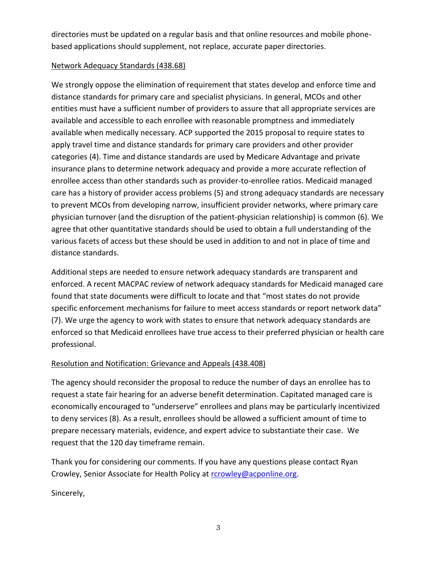directories must be updated on a regular basis and that online resources and mobile phonebased applications should supplement, not replace, accurate paper directories.

#### Network Adequacy Standards (438.68)

We strongly oppose the elimination of requirement that states develop and enforce time and distance standards for primary care and specialist physicians. In general, MCOs and other entities must have a sufficient number of providers to assure that all appropriate services are available and accessible to each enrollee with reasonable promptness and immediately available when medically necessary. ACP supported the 2015 proposal to require states to apply travel time and distance standards for primary care providers and other provider categories (4). Time and distance standards are used by Medicare Advantage and private insurance plans to determine network adequacy and provide a more accurate reflection of enrollee access than other standards such as provider-to-enrollee ratios. Medicaid managed care has a history of provider access problems (5) and strong adequacy standards are necessary to prevent MCOs from developing narrow, insufficient provider networks, where primary care physician turnover (and the disruption of the patient-physician relationship) is common (6). We agree that other quantitative standards should be used to obtain a full understanding of the various facets of access but these should be used in addition to and not in place of time and distance standards.

Additional steps are needed to ensure network adequacy standards are transparent and enforced. A recent MACPAC review of network adequacy standards for Medicaid managed care found that state documents were difficult to locate and that "most states do not provide specific enforcement mechanisms for failure to meet access standards or report network data" (7). We urge the agency to work with states to ensure that network adequacy standards are enforced so that Medicaid enrollees have true access to their preferred physician or health care professional.

## Resolution and Notification: Grievance and Appeals (438.408)

The agency should reconsider the proposal to reduce the number of days an enrollee has to request a state fair hearing for an adverse benefit determination. Capitated managed care is economically encouraged to "underserve" enrollees and plans may be particularly incentivized to deny services (8). As a result, enrollees should be allowed a sufficient amount of time to prepare necessary materials, evidence, and expert advice to substantiate their case. We request that the 120 day timeframe remain.

Thank you for considering our comments. If you have any questions please contact Ryan Crowley, Senior Associate for Health Policy at [rcrowley@acponline.org.](mailto:rcrowley@acponline.org)

Sincerely,